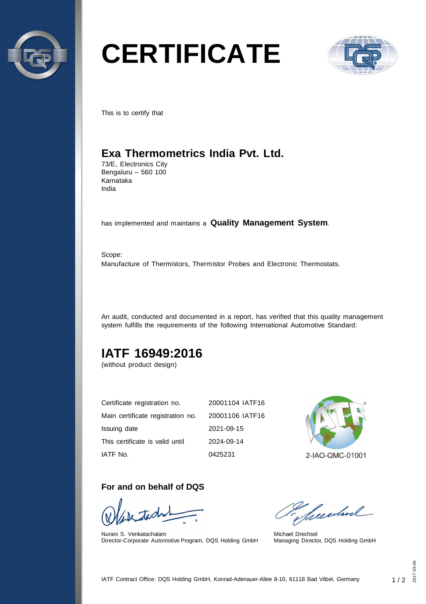

# **CERTIFICATE**



This is to certify that

## **Exa Thermometrics India Pvt. Ltd.**

73/E, Electronics City Bengaluru – 560 100 Karnataka India

has implemented and maintains a **Quality Management System**.

Scope: Manufacture of Thermistors, Thermistor Probes and Electronic Thermostats.

An audit, conducted and documented in a report, has verified that this quality management system fulfills the requirements of the following International Automotive Standard:

## **IATF 16949:2016**

(without product design)

| Certificate registration no.      | 20001104 IATF16 |
|-----------------------------------|-----------------|
| Main certificate registration no. | 20001106 IATF16 |
| Issuing date                      | 2021-09-15      |
| This certificate is valid until   | 2024-09-14      |
| IATF No.                          | 0425231         |



#### **For and on behalf of DQS**

Nurani S. Venkatachalam Director-Corporate Automotive Program, DQS Holding GmbH

Seculard

Michael Drechsel Managing Director, DQS Holding GmbH